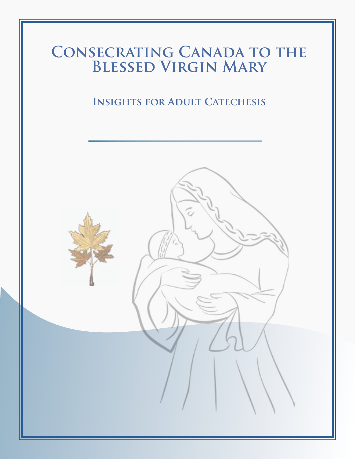

# **Insights for Adult Catechesis**

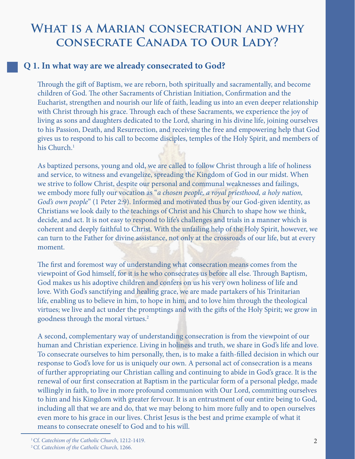# **What is a Marian consecration and why consecrate Canada to Our Lady?**

### **Q 1. In what way are we already consecrated to God?**

Through the gift of Baptism, we are reborn, both spiritually and sacramentally, and become children of God. The other Sacraments of Christian Initiation, Confirmation and the Eucharist, strengthen and nourish our life of faith, leading us into an even deeper relationship with Christ through his grace. Through each of these Sacraments, we experience the joy of living as sons and daughters dedicated to the Lord, sharing in his divine life, joining ourselves to his Passion, Death, and Resurrection, and receiving the free and empowering help that God gives us to respond to his call to become disciples, temples of the Holy Spirit, and members of his Church.<sup>1</sup>

As baptized persons, young and old, we are called to follow Christ through a life of holiness and service, to witness and evangelize, spreading the Kingdom of God in our midst. When we strive to follow Christ, despite our personal and communal weaknesses and failings, we embody more fully our vocation as "*a chosen people, a royal priesthood, a holy nation, God's own people*" (1 Peter 2:9). Informed and motivated thus by our God-given identity, as Christians we look daily to the teachings of Christ and his Church to shape how we think, decide, and act. It is not easy to respond to life's challenges and trials in a manner which is coherent and deeply faithful to Christ. With the unfailing help of the Holy Spirit, however, we can turn to the Father for divine assistance, not only at the crossroads of our life, but at every moment.

The first and foremost way of understanding what consecration means comes from the viewpoint of God himself, for it is he who consecrates us before all else. Through Baptism, God makes us his adoptive children and confers on us his very own holiness of life and love. With God's sanctifying and healing grace, we are made partakers of his Trinitarian life, enabling us to believe in him, to hope in him, and to love him through the theological virtues; we live and act under the promptings and with the gifts of the Holy Spirit; we grow in goodness through the moral virtues.2

A second, complementary way of understanding consecration is from the viewpoint of our human and Christian experience. Living in holiness and truth, we share in God's life and love. To consecrate ourselves to him personally, then, is to make a faith-filled decision in which our response to God's love for us is uniquely our own. A personal act of consecration is a means of further appropriating our Christian calling and continuing to abide in God's grace. It is the renewal of our first consecration at Baptism in the particular form of a personal pledge, made willingly in faith, to live in more profound communion with Our Lord, committing ourselves to him and his Kingdom with greater fervour. It is an entrustment of our entire being to God, including all that we are and do, that we may belong to him more fully and to open ourselves even more to his grace in our lives. Christ Jesus is the best and prime example of what it means to consecrate oneself to God and to his will.

<sup>1</sup> Cf. *Catechism of the Catholic Church*, 1212-1419.

<sup>2</sup> Cf. *Catechism of the Catholic Church*, 1266.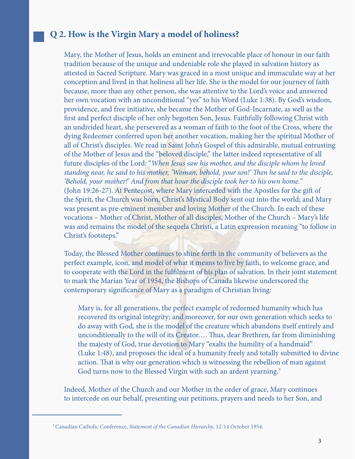#### **Q 2. How is the Virgin Mary a model of holiness?**

Mary, the Mother of Jesus, holds an eminent and irrevocable place of honour in our faith tradition because of the unique and undeniable role she played in salvation history as attested in Sacred Scripture. Mary was graced in a most unique and immaculate way at her conception and lived in that holiness all her life. She is the model for our journey of faith because, more than any other person, she was attentive to the Lord's voice and answered her own vocation with an unconditional "yes" to his Word (Luke 1:38). By God's wisdom, providence, and free initiative, she became the Mother of God-Incarnate, as well as the first and perfect disciple of her only begotten Son, Jesus. Faithfully following Christ with an undivided heart, she persevered as a woman of faith to the foot of the Cross, where the dying Redeemer conferred upon her another vocation, making her the spiritual Mother of all of Christ's disciples. We read in Saint John's Gospel of this admirable, mutual entrusting of the Mother of Jesus and the "beloved disciple," the latter indeed representative of all future disciples of the Lord: "*When Jesus saw his mother, and the disciple whom he loved standing near, he said to his mother, 'Woman, behold, your son!' Then he said to the disciple, 'Behold, your mother!' And from that hour the disciple took her to his own home.*" (John 19:26-27). At Pentecost, where Mary interceded with the Apostles for the gift of the Spirit, the Church was born, Christ's Mystical Body sent out into the world; and Mary was present as pre-eminent member and loving Mother of the Church. In each of these vocations – Mother of Christ, Mother of all disciples, Mother of the Church – Mary's life was and remains the model of the sequela Christi, a Latin expression meaning "to follow in Christ's footsteps."

Today, the Blessed Mother continues to shine forth in the community of believers as the perfect example, icon, and model of what it means to live by faith, to welcome grace, and to cooperate with the Lord in the fulfilment of his plan of salvation. In their joint statement to mark the Marian Year of 1954, the Bishops of Canada likewise underscored the contemporary significance of Mary as a paradigm of Christian living:

Mary is, for all generations, the perfect example of redeemed humanity which has recovered its original integrity; and moreover, for our own generation which seeks to do away with God, she is the model of the creature which abandons itself entirely and unconditionally to the will of its Creator…. Thus, dear Brethren, far from diminishing the majesty of God, true devotion to Mary "exalts the humility of a handmaid" (Luke 1:48), and proposes the ideal of a humanity freely and totally submitted to divine action. That is why our generation which is witnessing the rebellion of man against God turns now to the Blessed Virgin with such an ardent yearning.<sup>3</sup>

Indeed, Mother of the Church and our Mother in the order of grace, Mary continues to intercede on our behalf, presenting our petitions, prayers and needs to her Son, and

<sup>3</sup> Canadian Catholic Conference, *Statement of the Canadian Hierarchy*, 12-14 October 1954.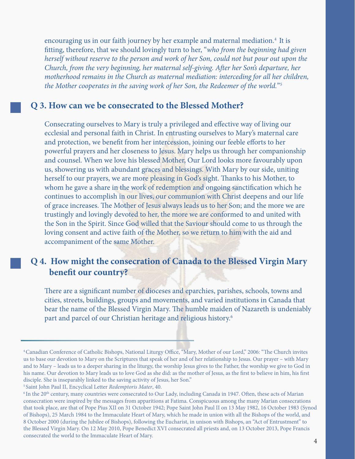encouraging us in our faith journey by her example and maternal mediation.<sup>4</sup> It is fitting, therefore, that we should lovingly turn to her, "*who from the beginning had given herself without reserve to the person and work of her Son, could not but pour out upon the Church, from the very beginning, her maternal self-giving. After her Son's departure, her motherhood remains in the Church as maternal mediation: interceding for all her children, the Mother cooperates in the saving work of her Son, the Redeemer of the world.*"5

#### **Q 3. How can we be consecrated to the Blessed Mother?**

Consecrating ourselves to Mary is truly a privileged and effective way of living our ecclesial and personal faith in Christ. In entrusting ourselves to Mary's maternal care and protection, we benefit from her intercession, joining our feeble efforts to her powerful prayers and her closeness to Jesus. Mary helps us through her companionship and counsel. When we love his blessed Mother, Our Lord looks more favourably upon us, showering us with abundant graces and blessings. With Mary by our side, uniting herself to our prayers, we are more pleasing in God's sight. Thanks to his Mother, to whom he gave a share in the work of redemption and ongoing sanctification which he continues to accomplish in our lives, our communion with Christ deepens and our life of grace increases. The Mother of Jesus always leads us to her Son; and the more we are trustingly and lovingly devoted to her, the more we are conformed to and united with the Son in the Spirit. Since God willed that the Saviour should come to us through the loving consent and active faith of the Mother, so we return to him with the aid and accompaniment of the same Mother.

### **Q 4. How might the consecration of Canada to the Blessed Virgin Mary benefit our country?**

There are a significant number of dioceses and eparchies, parishes, schools, towns and cities, streets, buildings, groups and movements, and varied institutions in Canada that bear the name of the Blessed Virgin Mary. The humble maiden of Nazareth is undeniably part and parcel of our Christian heritage and religious history.<sup>6</sup>

<sup>4</sup> Canadian Conference of Catholic Bishops, National Liturgy Office, "Mary, Mother of our Lord," 2006: "The Church invites us to base our devotion to Mary on the Scriptures that speak of her and of her relationship to Jesus. Our prayer – with Mary and to Mary – leads us to a deeper sharing in the liturgy, the worship Jesus gives to the Father, the worship we give to God in his name. Our devotion to Mary leads us to love God as she did: as the mother of Jesus, as the first to believe in him, his first disciple. She is inseparably linked to the saving activity of Jesus, her Son."

<sup>5</sup> Saint John Paul II, Encyclical Letter *Redemptoris Mater*, 40.

 $6$  In the 20<sup>th</sup> century, many countries were consecrated to Our Lady, including Canada in 1947. Often, these acts of Marian consecration were inspired by the messages from apparitions at Fatima. Conspicuous among the many Marian consecrations that took place, are that of Pope Pius XII on 31 October 1942; Pope Saint John Paul II on 13 May 1982, 16 October 1983 (Synod of Bishops), 25 March 1984 to the Immaculate Heart of Mary, which he made in union with all the Bishops of the world, and 8 October 2000 (during the Jubilee of Bishops), following the Eucharist, in unison with Bishops, an "Act of Entrustment" to the Blessed Virgin Mary. On 12 May 2010, Pope Benedict XVI consecrated all priests and, on 13 October 2013, Pope Francis consecrated the world to the Immaculate Heart of Mary.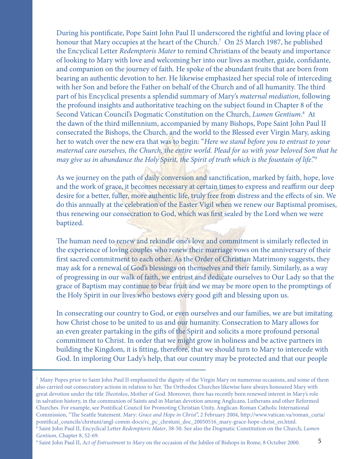During his pontificate, Pope Saint John Paul II underscored the rightful and loving place of honour that Mary occupies at the heart of the Church.7 On 25 March 1987, he published the Encyclical Letter *Redemptoris Mater* to remind Christians of the beauty and importance of looking to Mary with love and welcoming her into our lives as mother, guide, confidante, and companion on the journey of faith. He spoke of the abundant fruits that are born from bearing an authentic devotion to her. He likewise emphasized her special role of interceding with her Son and before the Father on behalf of the Church and of all humanity. The third part of his Encyclical presents a splendid summary of Mary's *maternal mediation*, following the profound insights and authoritative teaching on the subject found in Chapter 8 of the Second Vatican Council's Dogmatic Constitution on the Church, *Lumen Gentium*.<sup>8</sup> At the dawn of the third millennium, accompanied by many Bishops, Pope Saint John Paul II consecrated the Bishops, the Church, and the world to the Blessed ever Virgin Mary, asking her to watch over the new era that was to begin: "*Here we stand before you to entrust to your maternal care ourselves, the Church, the entire world. Plead for us with your beloved Son that he may give us in abundance the Holy Spirit, the Spirit of truth which is the fountain of life*."9

As we journey on the path of daily conversion and sanctification, marked by faith, hope, love and the work of grace, it becomes necessary at certain times to express and reaffirm our deep desire for a better, fuller, more authentic life, truly free from distress and the effects of sin. We do this annually at the celebration of the Easter Vigil when we renew our Baptismal promises, thus renewing our consecration to God, which was first sealed by the Lord when we were baptized.

The human need to renew and rekindle one's love and commitment is similarly reflected in the experience of loving couples who renew their marriage vows on the anniversary of their first sacred commitment to each other. As the Order of Christian Matrimony suggests, they may ask for a renewal of God's blessings on themselves and their family. Similarly, as a way of progressing in our walk of faith, we entrust and dedicate ourselves to Our Lady so that the grace of Baptism may continue to bear fruit and we may be more open to the promptings of the Holy Spirit in our lives who bestows every good gift and blessing upon us.

In consecrating our country to God, or even ourselves and our families, we are but imitating how Christ chose to be united to us and our humanity. Consecration to Mary allows for an even greater partaking in the gifts of the Spirit and solicits a more profound personal commitment to Christ. In order that we might grow in holiness and be active partners in building the Kingdom, it is fitting, therefore, that we should turn to Mary to intercede with God. In imploring Our Lady's help, that our country may be protected and that our people

9 Saint John Paul II, *Act of Entrustment to Mary* on the occasion of the Jubilee of Bishops in Rome, 8 October 2000.

<sup>7</sup> Many Popes prior to Saint John Paul II emphasized the dignity of the Virgin Mary on numerous occasions, and some of them also carried out consecratory actions in relation to her. The Orthodox Churches likewise have always honoured Mary with great devotion under the title *Theotokos*, Mother of God. Moreover, there has recently been renewed interest in Mary's role in salvation history, in the communion of Saints and in Marian devotion among Anglicans, Lutherans and other Reformed Churches. For example, see Pontifical Council for Promoting Christian Unity, Anglican-Roman Catholic International Commission, "The Seattle Statement. Mary: *Grace and Hope in Christ*", 2 February 2004, http://www.vatican.va/roman\_curia/ pontifical\_councils/chrstuni/angl-comm-docs/rc\_pc\_chrstuni\_doc\_20050516\_mary-grace-hope-christ\_en.html. 8 Saint John Paul II, Encyclical Letter *Redemptoris Mater*, 38-50. See also the Dogmatic Constitution on the Church, *Lumen Gentium*, Chapter 8, 52-69.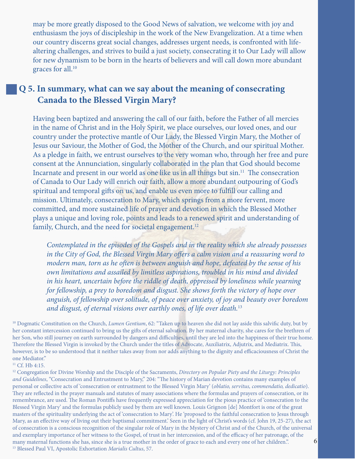may be more greatly disposed to the Good News of salvation, we welcome with joy and enthusiasm the joys of discipleship in the work of the New Evangelization. At a time when our country discerns great social changes, addresses urgent needs, is confronted with lifealtering challenges, and strives to build a just society, consecrating it to Our Lady will allow for new dynamism to be born in the hearts of believers and will call down more abundant graces for all.<sup>10</sup>

## **Q 5. In summary, what can we say about the meaning of consecrating Canada to the Blessed Virgin Mary?**

Having been baptized and answering the call of our faith, before the Father of all mercies in the name of Christ and in the Holy Spirit, we place ourselves, our loved ones, and our country under the protective mantle of Our Lady, the Blessed Virgin Mary, the Mother of Jesus our Saviour, the Mother of God, the Mother of the Church, and our spiritual Mother. As a pledge in faith, we entrust ourselves to the very woman who, through her free and pure consent at the Annunciation, singularly collaborated in the plan that God should become Incarnate and present in our world as one like us in all things but sin.<sup>11</sup> The consecration of Canada to Our Lady will enrich our faith, allow a more abundant outpouring of God's spiritual and temporal gifts on us, and enable us even more to fulfill our calling and mission. Ultimately, consecration to Mary, which springs from a more fervent, more committed, and more sustained life of prayer and devotion in which the Blessed Mother plays a unique and loving role, points and leads to a renewed spirit and understanding of family, Church, and the need for societal engagement.<sup>12</sup>

*Contemplated in the episodes of the Gospels and in the reality which she already possesses in the City of God, the Blessed Virgin Mary offers a calm vision and a reassuring word to modern man, torn as he often is between anguish and hope, defeated by the sense of his own limitations and assailed by limitless aspirations, troubled in his mind and divided in his heart, uncertain before the riddle of death, oppressed by loneliness while yearning for fellowship, a prey to boredom and disgust. She shows forth the victory of hope over anguish, of fellowship over solitude, of peace over anxiety, of joy and beauty over boredom and disgust, of eternal visions over earthly ones, of life over death.*<sup>13</sup>

10 Dogmatic Constitution on the Church, *Lumen Gentium*, 62: "Taken up to heaven she did not lay aside this salvific duty, but by her constant intercession continued to bring us the gifts of eternal salvation. By her maternal charity, she cares for the brethren of her Son, who still journey on earth surrounded by dangers and difficulties, until they are led into the happiness of their true home. Therefore the Blessed Virgin is invoked by the Church under the titles of Advocate, Auxiliatrix, Adjutrix, and Mediatrix. This, however, is to be so understood that it neither takes away from nor adds anything to the dignity and efficaciousness of Christ the one Mediator."

#### <sup>11</sup> Cf. Hb 4:15.

12 Congregation for Divine Worship and the Disciple of the Sacraments, *Directory on Popular Piety and the Liturgy: Principles and Guidelines*, "Consecration and Entrustment to Mary," 204: "The history of Marian devotion contains many examples of personal or collective acts of 'consecration or entrustment to the Blessed Virgin Mary' (*oblatio, servitus, commendatio, dedicatio*). They are reflected in the prayer manuals and statutes of many associations where the formulas and prayers of consecration, or its remembrance, are used. The Roman Pontiffs have frequently expressed appreciation for the pious practice of 'consecration to the Blessed Virgin Mary' and the formulas publicly used by them are well known. Louis Grignon [de] Montfort is one of the great masters of the spirituality underlying the act of 'consecration to Mary'. He 'proposed to the faithful consecration to Jesus through Mary, as an effective way of living out their baptismal commitment.' Seen in the light of Christ's words (cf. John 19, 25-27), the act of consecration is a conscious recognition of the singular role of Mary in the Mystery of Christ and of the Church, of the universal and exemplary importance of her witness to the Gospel, of trust in her intercession, and of the efficacy of her patronage, of the many maternal functions she has, since she is a true mother in the order of grace to each and every one of her children.". 13 Blessed Paul VI, Apostolic Exhortation *Marialis Cultus*, 57.